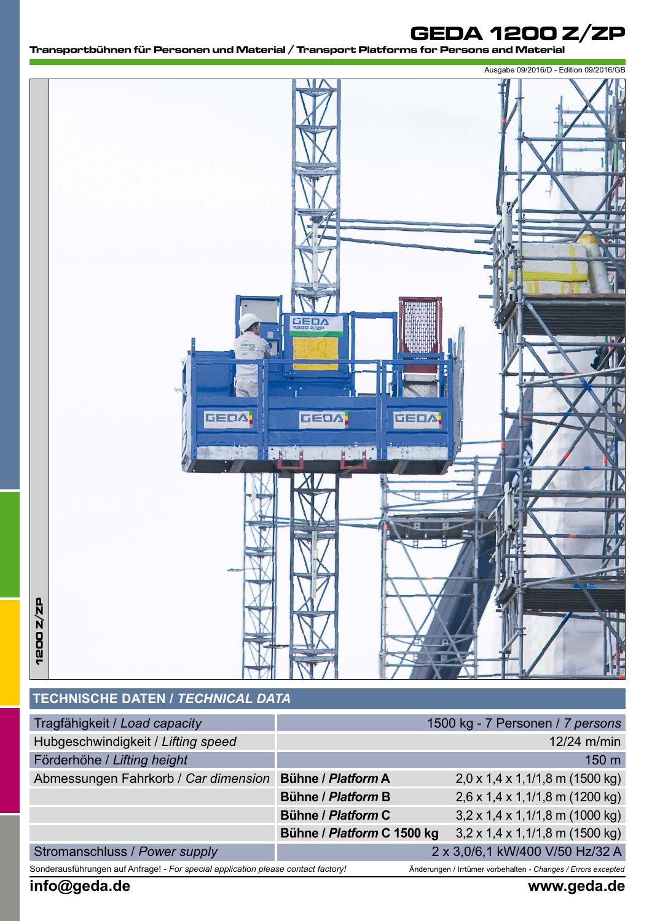# **GEDA 1200 Z/ZP**

**Transportbühnen für Personen und Material / Transport Platforms for Persons and Material** 



# **TECHNISCHE DATEN /** *TECHNICAL DATA*

| Tragfähigkeit / Load capacity                                                     |                            | 1500 kg - 7 Personen / 7 persons                              |
|-----------------------------------------------------------------------------------|----------------------------|---------------------------------------------------------------|
| Hubgeschwindigkeit / Lifting speed                                                |                            | 12/24 m/min                                                   |
| Förderhöhe / Lifting height                                                       |                            | 150 m                                                         |
| Abmessungen Fahrkorb / Car dimension                                              | Bühne / Platform A         | $2,0 \times 1,4 \times 1,1/1,8 \text{ m}$ (1500 kg)           |
|                                                                                   | Bühne / Platform B         | $2,6 \times 1,4 \times 1,1/1,8 \text{ m}$ (1200 kg)           |
|                                                                                   | Bühne / Platform C         | $3,2 \times 1,4 \times 1,1/1,8$ m (1000 kg)                   |
|                                                                                   | Bühne / Platform C 1500 kg | $3,2 \times 1,4 \times 1,1/1,8 \text{ m}$ (1500 kg)           |
| Stromanschluss / Power supply                                                     |                            | 2 x 3,0/6,1 kW/400 V/50 Hz/32 A                               |
| Sonderausführungen auf Anfrage! - For special application please contact factory! |                            | Änderungen / Irrtümer vorbehalten - Changes / Errors excepted |

**info@geda.de www.geda.de**